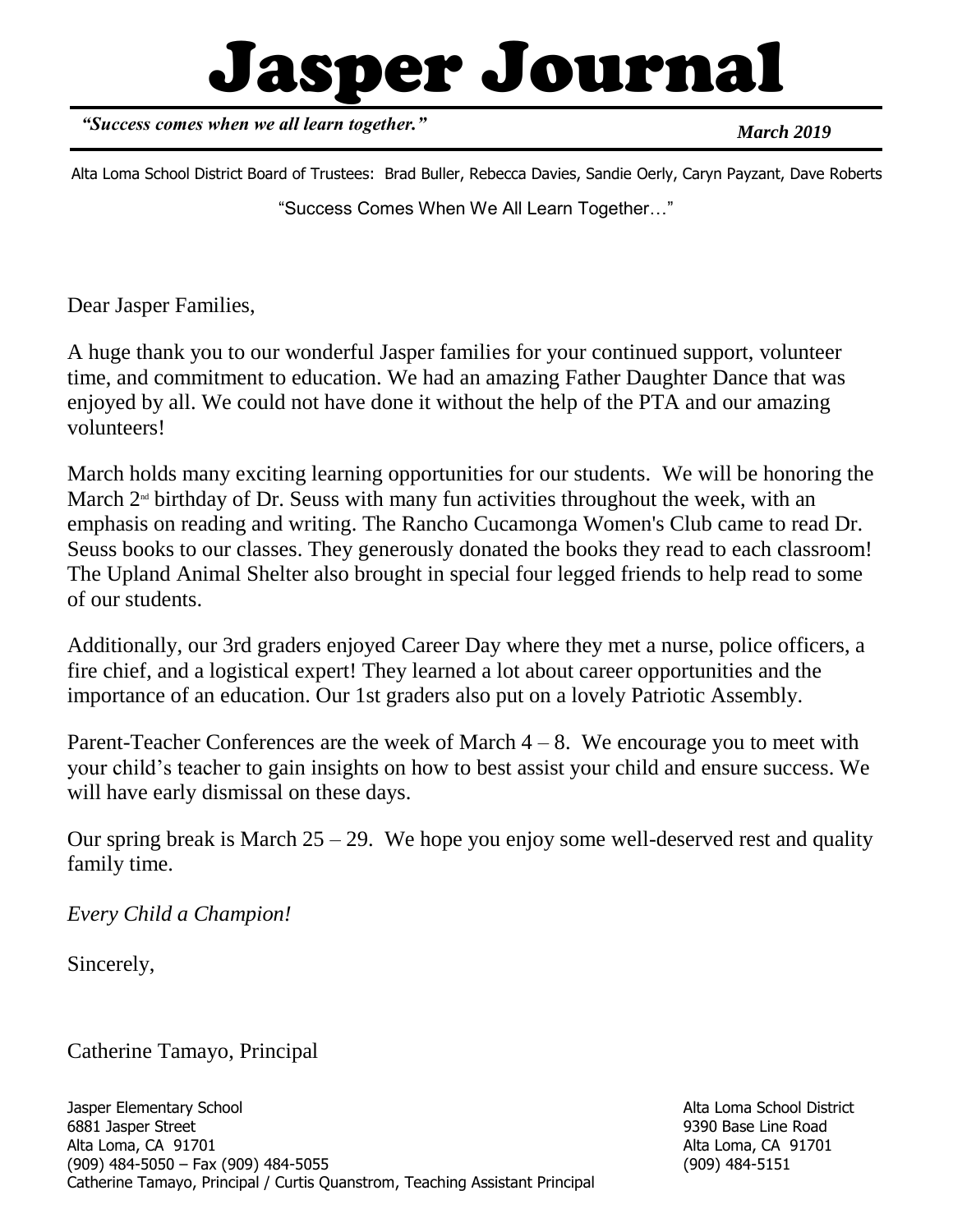# Jasper Journal

*"Success comes when we all learn together."*

*March 2019*

"Success Comes When We All Learn Together…" Alta Loma School District Board of Trustees: Brad Buller, Rebecca Davies, Sandie Oerly, Caryn Payzant, Dave Roberts

Dear Jasper Families,

A huge thank you to our wonderful Jasper families for your continued support, volunteer time, and commitment to education. We had an amazing Father Daughter Dance that was enjoyed by all. We could not have done it without the help of the PTA and our amazing volunteers!

March holds many exciting learning opportunities for our students. We will be honoring the March  $2<sup>nd</sup>$  birthday of Dr. Seuss with many fun activities throughout the week, with an emphasis on reading and writing. The Rancho Cucamonga Women's Club came to read Dr. Seuss books to our classes. They generously donated the books they read to each classroom! The Upland Animal Shelter also brought in special four legged friends to help read to some of our students.

Additionally, our 3rd graders enjoyed Career Day where they met a nurse, police officers, a fire chief, and a logistical expert! They learned a lot about career opportunities and the importance of an education. Our 1st graders also put on a lovely Patriotic Assembly.

Parent-Teacher Conferences are the week of March  $4 - 8$ . We encourage you to meet with your child's teacher to gain insights on how to best assist your child and ensure success. We will have early dismissal on these days.

Our spring break is March  $25 - 29$ . We hope you enjoy some well-deserved rest and quality family time.

*Every Child a Champion!*

Sincerely,

Catherine Tamayo, Principal

Alta Loma School District 9390 Base Line Road Alta Loma, CA 91701 (909) 484-5151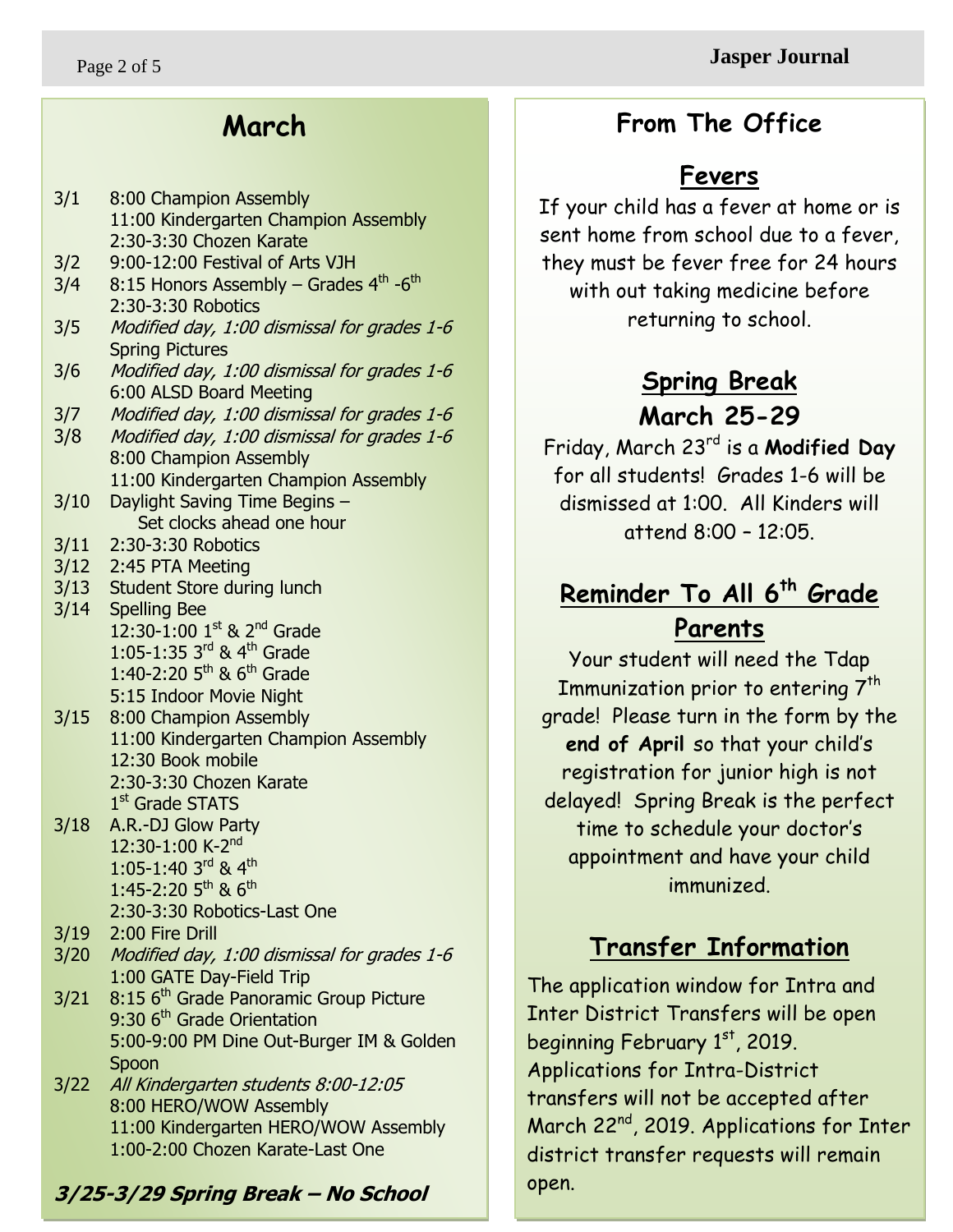**3/25-3/29 Spring Break – No School**

1:00-2:00 Chozen Karate-Last One

3/1 8:00 Champion Assembly

2:30-3:30 Robotics

Spring Pictures

3/11 2:30-3:30 Robotics 3/12 2:45 PTA Meeting

3/14 Spelling Bee

2:30-3:30 Chozen Karate 3/2 9:00-12:00 Festival of Arts VJH

6:00 ALSD Board Meeting

8:00 Champion Assembly

3/10 Daylight Saving Time Begins –

3/13 Student Store during lunch

3/15 8:00 Champion Assembly

12:30 Book mobile

1st Grade STATS 3/18 A.R.-DJ Glow Party 12:30-1:00 K-2<sup>nd</sup> 1:05-1:40 3rd & 4<sup>th</sup>  $1:45-2:20$  5<sup>th</sup> & 6<sup>th</sup>

3/19 2:00 Fire Drill

Spoon

2:30-3:30 Chozen Karate

2:30-3:30 Robotics-Last One

1:00 GATE Day-Field Trip

9:30 6<sup>th</sup> Grade Orientation

3/20 Modified day, 1:00 dismissal for grades 1-6

5:00-9:00 PM Dine Out-Burger IM & Golden

11:00 Kindergarten HERO/WOW Assembly

3/21 8:15 6<sup>th</sup> Grade Panoramic Group Picture

3/22 All Kindergarten students 8:00-12:05 8:00 HERO/WOW Assembly

 $12:30-1:00$  1st & 2<sup>nd</sup> Grade 1:05-1:35 3rd & 4<sup>th</sup> Grade 1:40-2:20  $5^{th}$  &  $6^{th}$  Grade 5:15 Indoor Movie Night

3/4 8:15 Honors Assembly – Grades 4<sup>th</sup> -6<sup>th</sup>

3/5 Modified day, 1:00 dismissal for grades 1-6

3/6 Modified day, 1:00 dismissal for grades 1-6

3/7 Modified day, 1:00 dismissal for grades 1-6 3/8 Modified day, 1:00 dismissal for grades 1-6

Set clocks ahead one hour

11:00 Kindergarten Champion Assembly

11:00 Kindergarten Champion Assembly

### **March**

11:00 Kindergarten Champion Assembly

### **Fevers**

 sent home from school due to a fever, If your child has a fever at home or is they must be fever free for 24 hours with out taking medicine before returning to school.

## **Spring Break March 25-29**

Friday, March 23rd is a **Modified Day** for all students! Grades 1-6 will be dismissed at 1:00. All Kinders will attend 8:00 – 12:05.

# **Reminder To All 6th Grade Parents**

Your student will need the Tdap Immunization prior to entering  $7<sup>th</sup>$ grade! Please turn in the form by the **end of April** so that your child's registration for junior high is not delayed! Spring Break is the perfect time to schedule your doctor's appointment and have your child immunized.

# **Transfer Information**

The application window for Intra and Inter District Transfers will be open beginning February 1st, 2019. Applications for Intra-District transfers will not be accepted after March 22<sup>nd</sup>, 2019. Applications for Inter district transfer requests will remain open.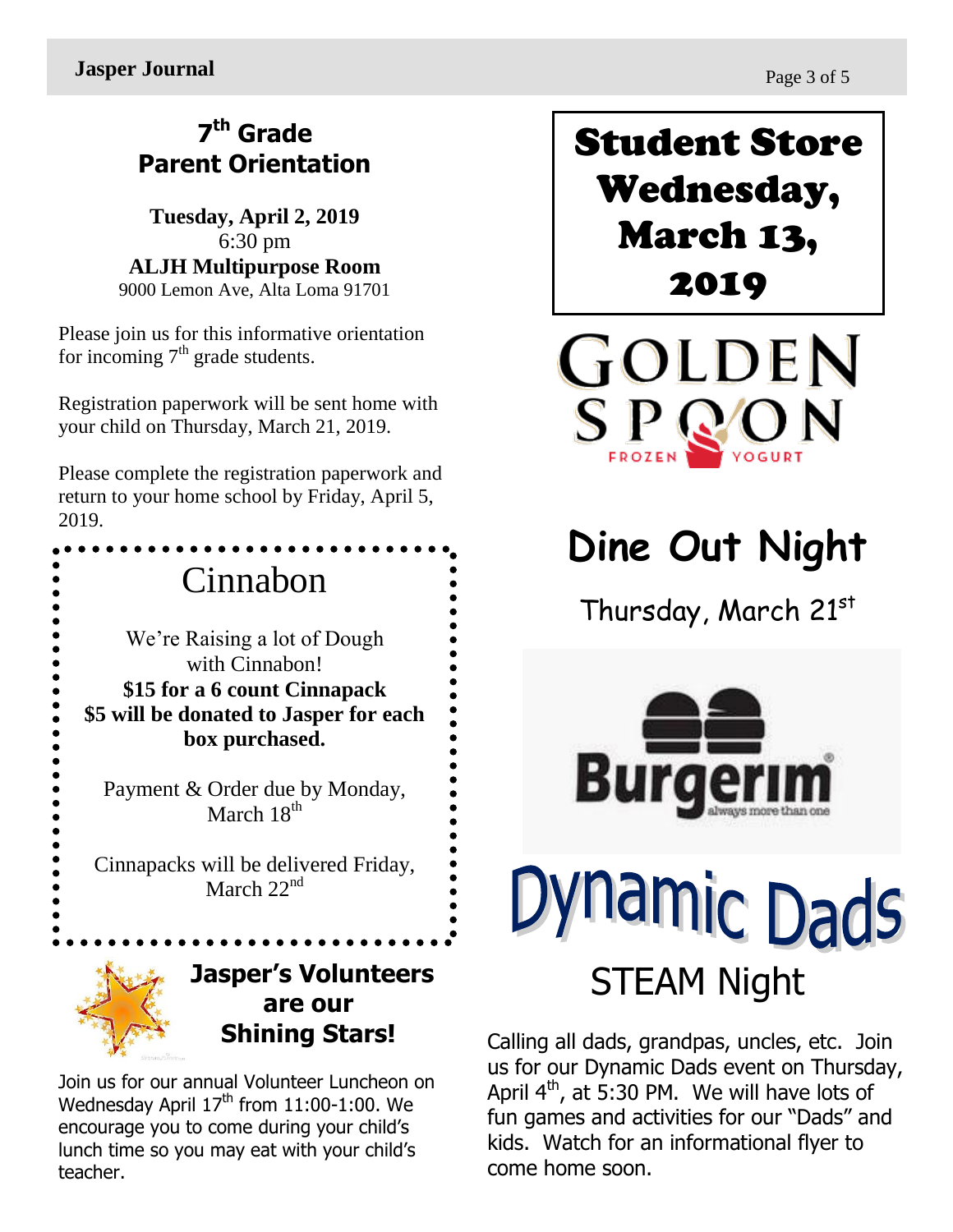**Jasper Journal** Page 3 of 5

## **7 th Grade Parent Orientation**

**Tuesday, April 2, 2019** 6:30 pm **ALJH Multipurpose Room** 9000 Lemon Ave, Alta Loma 91701

Please join us for this informative orientation for incoming  $7<sup>th</sup>$  grade students.

Registration paperwork will be sent home with your child on Thursday, March 21, 2019.

Please complete the registration paperwork and return to your home school by Friday, April 5, 2019.



Join us for our annual Volunteer Luncheon on Wednesday April 17<sup>th</sup> from 11:00-1:00. We encourage you to come during your child's lunch time so you may eat with your child's teacher.

Student Store Wednesday, March 13, 2019

GOLDEN  $\mathbf{S} \mathop{\mathbf{P}}_{\mathsf{FROZEN}} \mathbf{Q} \mathbf{O} \mathbf{N}$ 

# **Dine Out Night**

Thursday, March 21st



# **Mamic Dads** STEAM Night

Calling all dads, grandpas, uncles, etc. Join us for our Dynamic Dads event on Thursday, April  $4^{\text{th}}$ , at 5:30 PM. We will have lots of fun games and activities for our "Dads" and kids. Watch for an informational flyer to come home soon.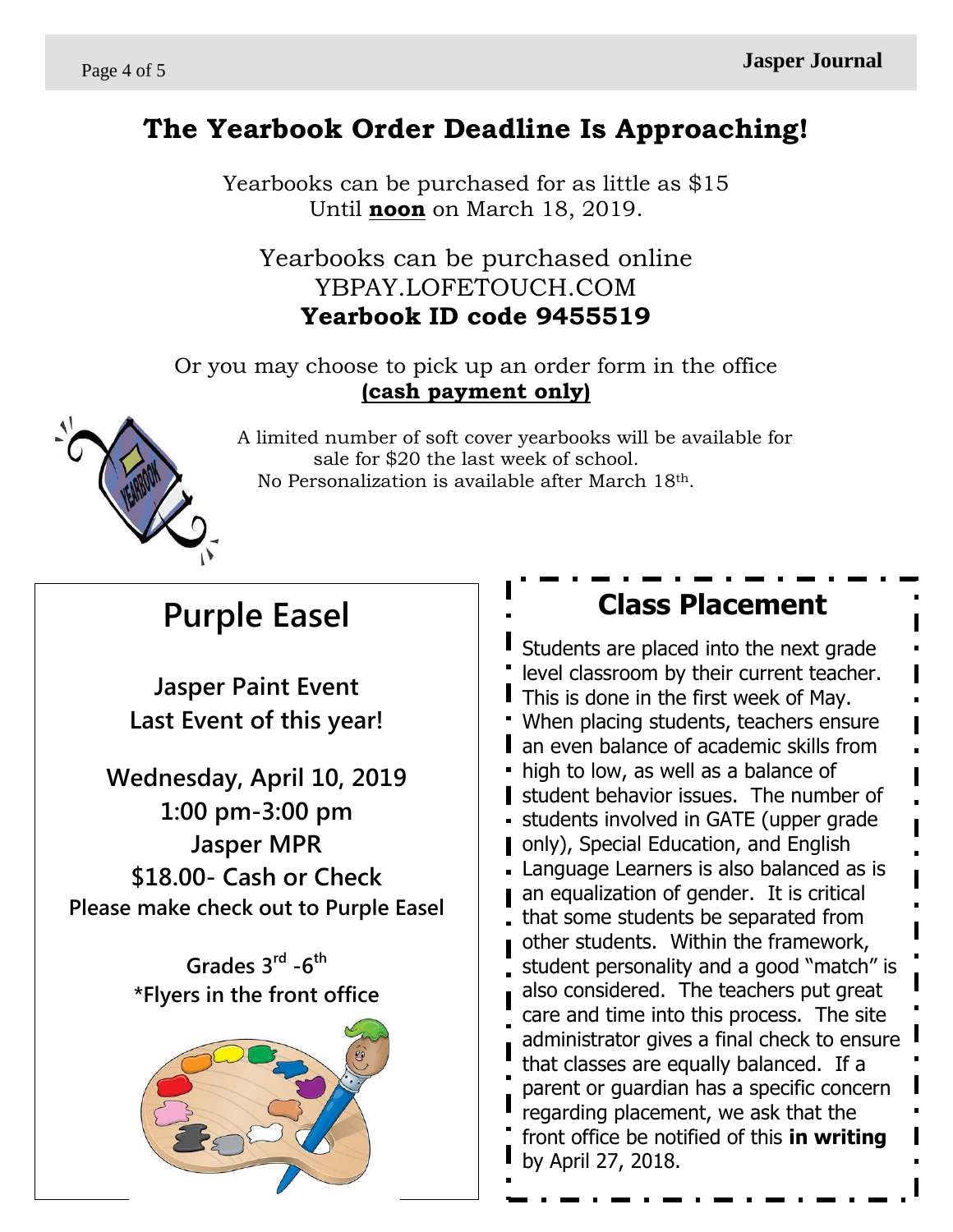### **The Yearbook Order Deadline Is Approaching!**

Yearbooks can be purchased for as little as \$15 Until **noon** on March 18, 2019.

### Yearbooks can be purchased online YBPAY.LOFETOUCH.COM **Yearbook ID code 9455519**

Or you may choose to pick up an order form in the office **(cash payment only)**



 A limited number of soft cover yearbooks will be available for sale for \$20 the last week of school. No Personalization is available after March 18th.

# **Purple Easel**

**Jasper Paint Event Last Event of this year!**

**Wednesday, April 10, 2019 1:00 pm-3:00 pm Jasper MPR \$18.00- Cash or Check Please make check out to Purple Easel**

> **Grades 3rd -6 th \*Flyers in the front office**



### **Class Placement**

Students are placed into the next grade level classroom by their current teacher. This is done in the first week of May. When placing students, teachers ensure **an even balance of academic skills from** • high to low, as well as a balance of student behavior issues. The number of students involved in GATE (upper grade **Demonly** Special Education, and English Language Learners is also balanced as is an equalization of gender. It is critical that some students be separated from other students. Within the framework, student personality and a good "match" is also considered. The teachers put great care and time into this process. The site administrator gives a final check to ensure that classes are equally balanced. If a parent or guardian has a specific concern regarding placement, we ask that the front office be notified of this **in writing** by April 27, 2018.